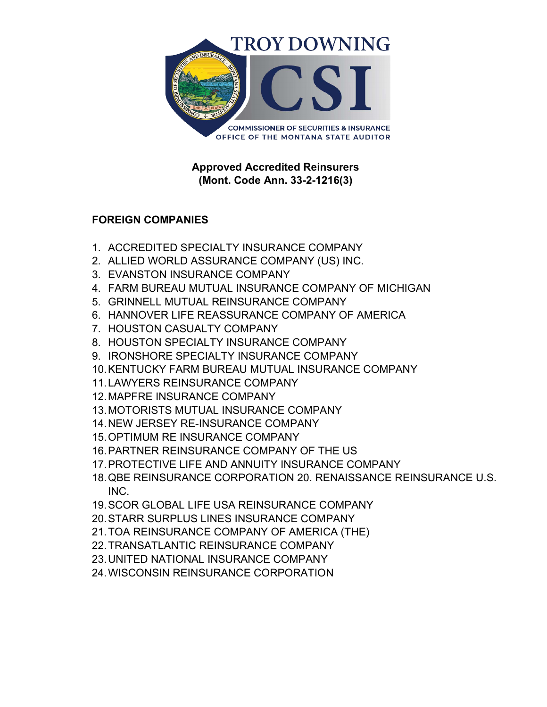

**Approved Accredited Reinsurers (Mont. Code Ann. 33-2-1216(3)**

## **FOREIGN COMPANIES**

- 1. ACCREDITED SPECIALTY INSURANCE COMPANY
- 2. ALLIED WORLD ASSURANCE COMPANY (US) INC.
- 3. EVANSTON INSURANCE COMPANY
- 4. FARM BUREAU MUTUAL INSURANCE COMPANY OF MICHIGAN
- 5. GRINNELL MUTUAL REINSURANCE COMPANY
- 6. HANNOVER LIFE REASSURANCE COMPANY OF AMERICA
- 7. HOUSTON CASUALTY COMPANY
- 8. HOUSTON SPECIALTY INSURANCE COMPANY
- 9. IRONSHORE SPECIALTY INSURANCE COMPANY
- 10.KENTUCKY FARM BUREAU MUTUAL INSURANCE COMPANY
- 11.LAWYERS REINSURANCE COMPANY
- 12.MAPFRE INSURANCE COMPANY
- 13.MOTORISTS MUTUAL INSURANCE COMPANY
- 14.NEW JERSEY RE-INSURANCE COMPANY
- 15.OPTIMUM RE INSURANCE COMPANY
- 16.PARTNER REINSURANCE COMPANY OF THE US
- 17.PROTECTIVE LIFE AND ANNUITY INSURANCE COMPANY
- 18.QBE REINSURANCE CORPORATION 20. RENAISSANCE REINSURANCE U.S. INC.
- 19.SCOR GLOBAL LIFE USA REINSURANCE COMPANY
- 20.STARR SURPLUS LINES INSURANCE COMPANY
- 21.TOA REINSURANCE COMPANY OF AMERICA (THE)
- 22.TRANSATLANTIC REINSURANCE COMPANY
- 23.UNITED NATIONAL INSURANCE COMPANY
- 24.WISCONSIN REINSURANCE CORPORATION